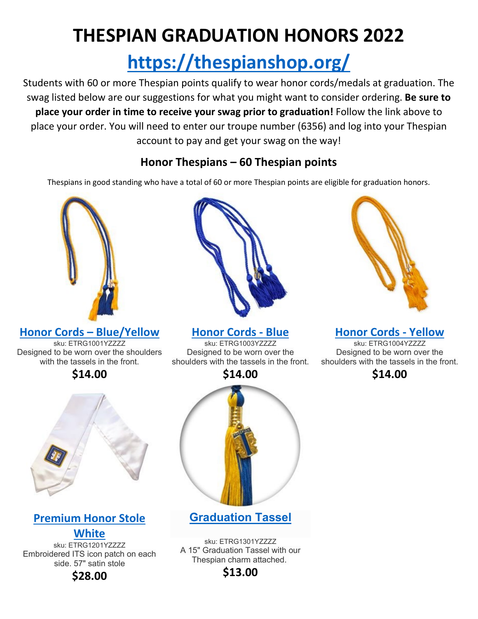# **THESPIAN GRADUATION HONORS 2022**

# **<https://thespianshop.org/>**

Students with 60 or more Thespian points qualify to wear honor cords/medals at graduation. The swag listed below are our suggestions for what you might want to consider ordering. **Be sure to place your order in time to receive your swag prior to graduation!** Follow the link above to place your order. You will need to enter our troupe number (6356) and log into your Thespian account to pay and get your swag on the way!

### **Honor Thespians – 60 Thespian points**

Thespians in good standing who have a total of 60 or more Thespian points are eligible for graduation honors.



**[Honor Cords –](https://thespianshop.org/products/605553) Blue/Yellow**

sku: ETRG1001YZZZZ Designed to be worn over the shoulders with the tassels in the front.

### **\$14.00**



## **[Premium Honor Stole](https://thespianshop.org/products/605565)**

**[White](https://thespianshop.org/products/605565)** sku: ETRG1201YZZZZ Embroidered ITS icon patch on each side. 57" satin stole

**\$28.00**



**[Honor Cords -](https://thespianshop.org/products/605555) Blue**

sku: ETRG1003YZZZZ Designed to be worn over the shoulders with the tassels in the front.



**[Graduation Tassel](https://thespianshop.org/products/605572)**

sku: ETRG1301YZZZZ A 15" Graduation Tassel with our Thespian charm attached.

### **\$13.00**



**[Honor Cords -](https://thespianshop.org/products/605556) Yellow**

sku: ETRG1004YZZZZ Designed to be worn over the shoulders with the tassels in the front.

**\$14.00**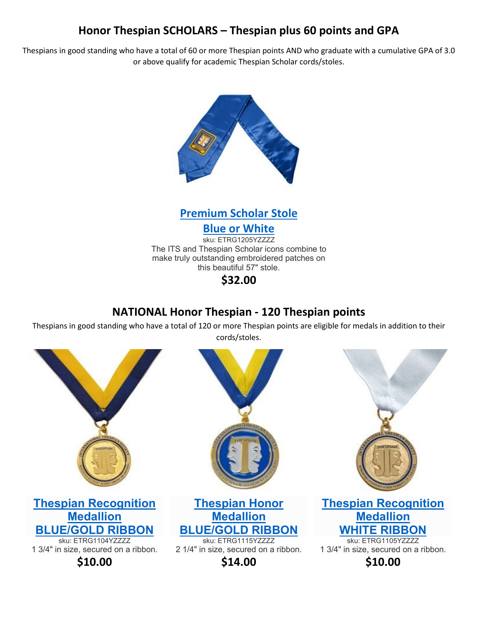#### **Honor Thespian SCHOLARS – Thespian plus 60 points and GPA**

Thespians in good standing who have a total of 60 or more Thespian points AND who graduate with a cumulative GPA of 3.0 or above qualify for academic Thespian Scholar cords/stoles.





**[Blue or White](https://thespianshop.org/products/605571)**

sku: ETRG1205YZZZZ The ITS and Thespian Scholar icons combine to make truly outstanding embroidered patches on this beautiful 57" stole.

**\$32.00**

#### **NATIONAL Honor Thespian - 120 Thespian points**

Thespians in good standing who have a total of 120 or more Thespian points are eligible for medals in addition to their cords/stoles.